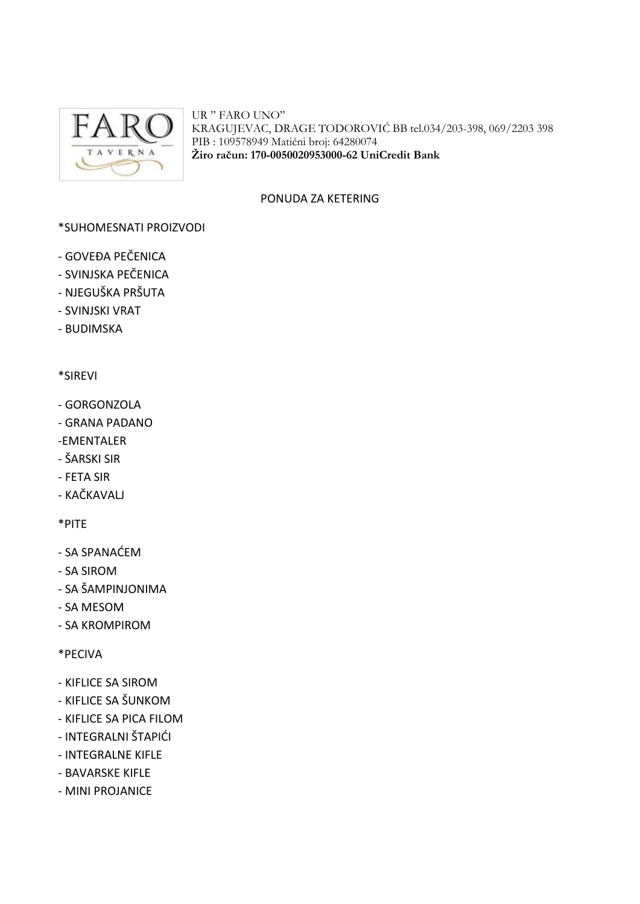

UR " FARO UNO" KRAGUJEVAC, DRAGE TODOROVIĆ BB tel.034/203-398, 069/2203 398 PIB : 109578949 Matični broj: 64280074 **Žiro račun: 170-0050020953000-62 UniCredit Bank**

### PONUDA ZA KETERING

### \*SUHOMESNATI PROIZVODI

- GOVEĐA PEČENICA
- SVINJSKA PEČENICA
- NJEGUŠKA PRŠUTA
- SVINJSKI VRAT
- BUDIMSKA

### \*SIREVI

- GORGONZOLA
- GRANA PADANO
- -EMENTALER
- ŠARSKI SIR
- FETA SIR
- KAČKAVALJ

\*PITE

- SA SPANAĆEM
- SA SIROM
- SA ŠAMPINJONIMA
- SA MESOM
- SA KROMPIROM

\*PECIVA

- KIFLICE SA SIROM
- KIFLICE SA ŠUNKOM
- KIFLICE SA PICA FILOM
- INTEGRALNI ŠTAPIĆI
- INTEGRALNE KIFLE
- BAVARSKE KIFLE
- MINI PROJANICE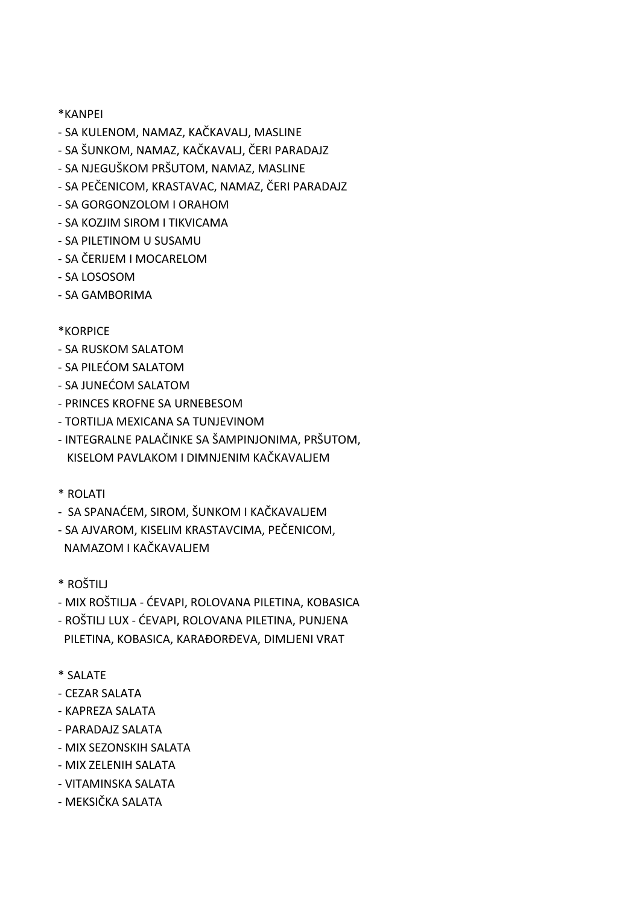## \*KANPEI

- SA KULENOM, NAMAZ, KAČKAVALJ, MASLINE
- SA ŠUNKOM, NAMAZ, KAČKAVALJ, ČERI PARADAJZ
- SA NJEGUŠKOM PRŠUTOM, NAMAZ, MASLINE
- SA PEČENICOM, KRASTAVAC, NAMAZ, ČERI PARADAJZ
- SA GORGONZOLOM I ORAHOM
- SA KOZJIM SIROM I TIKVICAMA
- SA PILETINOM U SUSAMU
- SA ČERIJEM I MOCARELOM
- SA LOSOSOM
- SA GAMBORIMA

# \*KORPICE

- SA RUSKOM SALATOM
- SA PILEĆOM SALATOM
- SA JUNEĆOM SALATOM
- PRINCES KROFNE SA URNEBESOM
- TORTILJA MEXICANA SA TUNJEVINOM
- INTEGRALNE PALAČINKE SA ŠAMPINJONIMA, PRŠUTOM, KISELOM PAVLAKOM I DIMNJENIM KAČKAVALJEM
- \* ROLATI
- SA SPANAĆEM, SIROM, ŠUNKOM I KAČKAVALJEM
- SA AJVAROM, KISELIM KRASTAVCIMA, PEČENICOM, NAMAZOM I KAČKAVALJEM
- \* ROŠTILJ
- MIX ROŠTILJA ĆEVAPI, ROLOVANA PILETINA, KOBASICA
- ROŠTILJ LUX ĆEVAPI, ROLOVANA PILETINA, PUNJENA PILETINA, KOBASICA, KARAĐORĐEVA, DIMLJENI VRAT
- \* SALATE
- CEZAR SALATA
- KAPREZA SALATA
- PARADAJZ SALATA
- MIX SEZONSKIH SALATA
- MIX ZELENIH SALATA
- VITAMINSKA SALATA
- MEKSIČKA SALATA